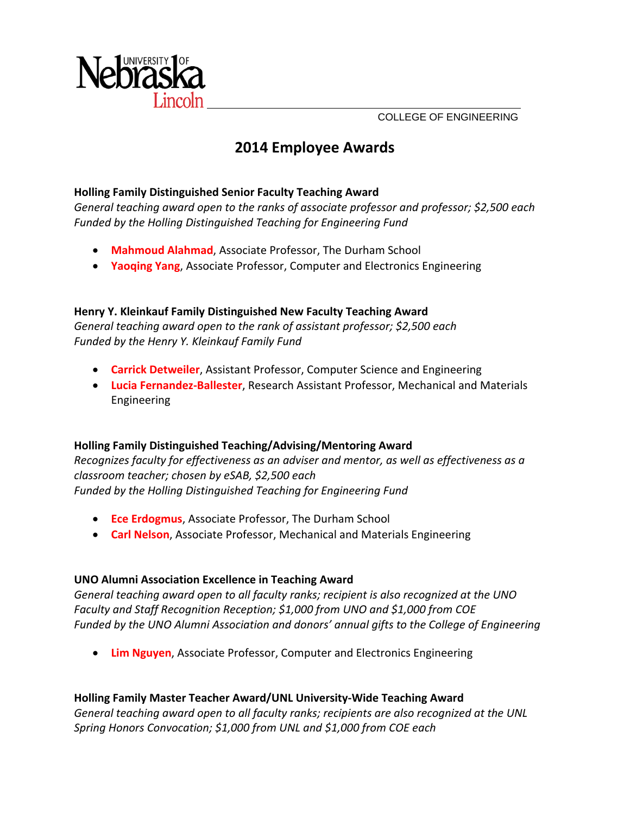

COLLEGE OF ENGINEERING

# **2014 Employee Awards**

# **Holling Family Distinguished Senior Faculty Teaching Award**

*General teaching award open to the ranks of associate professor and professor; \$2,500 each Funded by the Holling Distinguished Teaching for Engineering Fund*

- **Mahmoud Alahmad**, Associate Professor, The Durham School
- **Yaoqing Yang**, Associate Professor, Computer and Electronics Engineering

# **Henry Y. Kleinkauf Family Distinguished New Faculty Teaching Award**

*General teaching award open to the rank of assistant professor; \$2,500 each Funded by the Henry Y. Kleinkauf Family Fund*

- **Carrick Detweiler**, Assistant Professor, Computer Science and Engineering
- **Lucia Fernandez‐Ballester**, Research Assistant Professor, Mechanical and Materials Engineering

#### **Holling Family Distinguished Teaching/Advising/Mentoring Award**

*Recognizes faculty for effectiveness as an adviser and mentor, as well as effectiveness as a classroom teacher; chosen by eSAB, \$2,500 each Funded by the Holling Distinguished Teaching for Engineering Fund*

- **Ece Erdogmus**, Associate Professor, The Durham School
- **Carl Nelson**, Associate Professor, Mechanical and Materials Engineering

# **UNO Alumni Association Excellence in Teaching Award**

*General teaching award open to all faculty ranks; recipient is also recognized at the UNO Faculty and Staff Recognition Reception; \$1,000 from UNO and \$1,000 from COE Funded by the UNO Alumni Association and donors' annual gifts to the College of Engineering*

**Lim Nguyen**, Associate Professor, Computer and Electronics Engineering

#### **Holling Family Master Teacher Award/UNL University‐Wide Teaching Award**

*General teaching award open to all faculty ranks; recipients are also recognized at the UNL Spring Honors Convocation; \$1,000 from UNL and \$1,000 from COE each*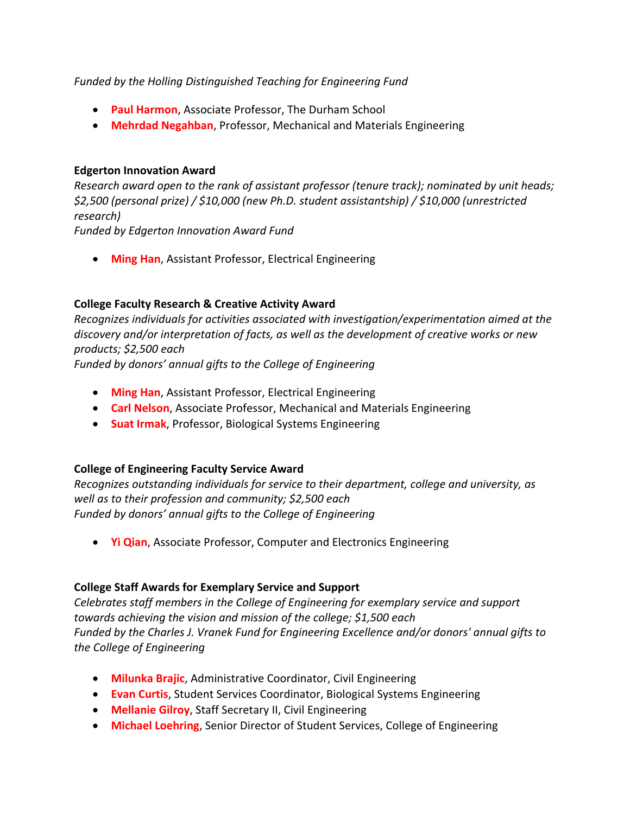#### *Funded by the Holling Distinguished Teaching for Engineering Fund*

- **Paul Harmon**, Associate Professor, The Durham School
- **Mehrdad Negahban**, Professor, Mechanical and Materials Engineering

#### **Edgerton Innovation Award**

*Research award open to the rank of assistant professor (tenure track); nominated by unit heads; \$2,500 (personal prize) / \$10,000 (new Ph.D. student assistantship) / \$10,000 (unrestricted research)* 

*Funded by Edgerton Innovation Award Fund*

**Ming Han**, Assistant Professor, Electrical Engineering

# **College Faculty Research & Creative Activity Award**

*Recognizes individuals for activities associated with investigation/experimentation aimed at the discovery and/or interpretation of facts, as well as the development of creative works or new products; \$2,500 each*

*Funded by donors' annual gifts to the College of Engineering*

- **Ming Han**, Assistant Professor, Electrical Engineering
- **Carl Nelson**, Associate Professor, Mechanical and Materials Engineering
- **Suat Irmak**, Professor, Biological Systems Engineering

#### **College of Engineering Faculty Service Award**

*Recognizes outstanding individuals for service to their department, college and university, as well as to their profession and community; \$2,500 each Funded by donors' annual gifts to the College of Engineering*

**Yi Qian**, Associate Professor, Computer and Electronics Engineering

#### **College Staff Awards for Exemplary Service and Support**

*Celebrates staff members in the College of Engineering for exemplary service and support towards achieving the vision and mission of the college; \$1,500 each Funded by the Charles J. Vranek Fund for Engineering Excellence and/or donors' annual gifts to the College of Engineering* 

- **Milunka Brajic**, Administrative Coordinator, Civil Engineering
- **Evan Curtis**, Student Services Coordinator, Biological Systems Engineering
- **Mellanie Gilroy**, Staff Secretary II, Civil Engineering
- **Michael Loehring**, Senior Director of Student Services, College of Engineering